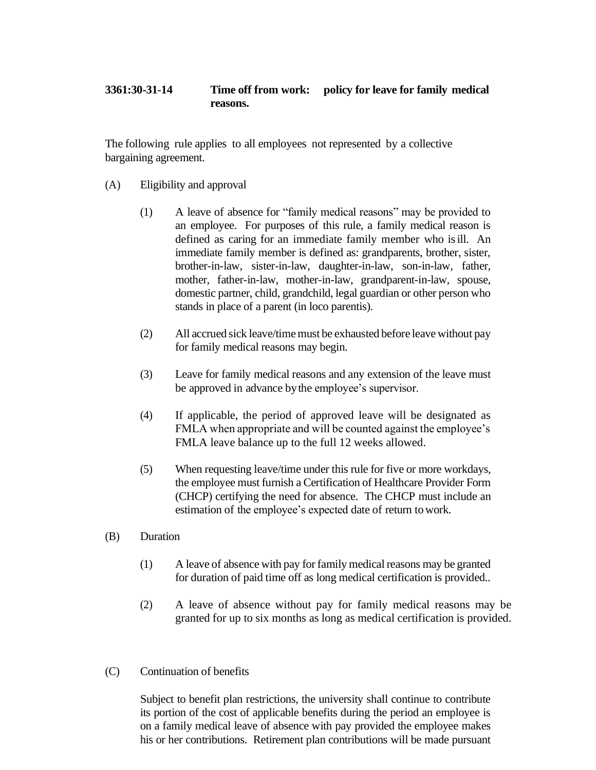## **3361:30-31-14 Time off from work: policy for leave for family medical reasons.**

The following rule applies to all employees not represented by a collective bargaining agreement.

- (A) Eligibility and approval
	- (1) A leave of absence for "family medical reasons" may be provided to an employee. For purposes of this rule, a family medical reason is defined as caring for an immediate family member who isill. An immediate family member is defined as: grandparents, brother, sister, brother-in-law, sister-in-law, daughter-in-law, son-in-law, father, mother, father-in-law, mother-in-law, grandparent-in-law, spouse, domestic partner, child, grandchild, legal guardian or other person who stands in place of a parent (in loco parentis).
	- (2) All accrued sick leave/timemust be exhausted before leave without pay for family medical reasons may begin.
	- (3) Leave for family medical reasons and any extension of the leave must be approved in advance bythe employee's supervisor.
	- (4) If applicable, the period of approved leave will be designated as FMLA when appropriate and will be counted against the employee's FMLA leave balance up to the full 12 weeks allowed.
	- (5) When requesting leave/time under this rule for five or more workdays, the employee must furnish a Certification of Healthcare Provider Form (CHCP) certifying the need for absence. The CHCP must include an estimation of the employee's expected date of return to work.
- (B) Duration
	- (1) A leave of absence with pay for family medical reasons may be granted for duration of paid time off as long medical certification is provided..
	- (2) A leave of absence without pay for family medical reasons may be granted for up to six months as long as medical certification is provided.
- (C) Continuation of benefits

Subject to benefit plan restrictions, the university shall continue to contribute its portion of the cost of applicable benefits during the period an employee is on a family medical leave of absence with pay provided the employee makes his or her contributions. Retirement plan contributions will be made pursuant